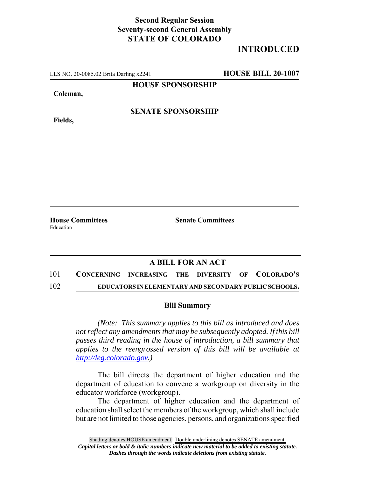## **Second Regular Session Seventy-second General Assembly STATE OF COLORADO**

# **INTRODUCED**

LLS NO. 20-0085.02 Brita Darling x2241 **HOUSE BILL 20-1007**

**HOUSE SPONSORSHIP**

**Coleman,**

**Fields,**

#### **SENATE SPONSORSHIP**

Education

**House Committees Senate Committees** 

### **A BILL FOR AN ACT**

101 **CONCERNING INCREASING THE DIVERSITY OF COLORADO'S** 102 **EDUCATORS IN ELEMENTARY AND SECONDARY PUBLIC SCHOOLS.**

#### **Bill Summary**

*(Note: This summary applies to this bill as introduced and does not reflect any amendments that may be subsequently adopted. If this bill passes third reading in the house of introduction, a bill summary that applies to the reengrossed version of this bill will be available at http://leg.colorado.gov.)*

The bill directs the department of higher education and the department of education to convene a workgroup on diversity in the educator workforce (workgroup).

The department of higher education and the department of education shall select the members of the workgroup, which shall include but are not limited to those agencies, persons, and organizations specified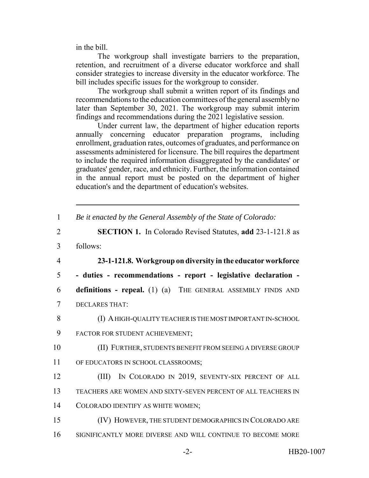in the bill.

The workgroup shall investigate barriers to the preparation, retention, and recruitment of a diverse educator workforce and shall consider strategies to increase diversity in the educator workforce. The bill includes specific issues for the workgroup to consider.

The workgroup shall submit a written report of its findings and recommendations to the education committees of the general assembly no later than September 30, 2021. The workgroup may submit interim findings and recommendations during the 2021 legislative session.

Under current law, the department of higher education reports annually concerning educator preparation programs, including enrollment, graduation rates, outcomes of graduates, and performance on assessments administered for licensure. The bill requires the department to include the required information disaggregated by the candidates' or graduates' gender, race, and ethnicity. Further, the information contained in the annual report must be posted on the department of higher education's and the department of education's websites.

| Be it enacted by the General Assembly of the State of Colorado: |  |  |  |
|-----------------------------------------------------------------|--|--|--|
|                                                                 |  |  |  |

- 2 **SECTION 1.** In Colorado Revised Statutes, **add** 23-1-121.8 as
- 3 follows:

4 **23-1-121.8. Workgroup on diversity in the educator workforce**

5 **- duties - recommendations - report - legislative declaration -**

6 **definitions - repeal.** (1) (a) THE GENERAL ASSEMBLY FINDS AND 7 DECLARES THAT:

8 (I) A HIGH-QUALITY TEACHER IS THE MOST IMPORTANT IN-SCHOOL

- 9 FACTOR FOR STUDENT ACHIEVEMENT;
- 10 (II) FURTHER, STUDENTS BENEFIT FROM SEEING A DIVERSE GROUP
- 11 OF EDUCATORS IN SCHOOL CLASSROOMS;
- 12 (III) IN COLORADO IN 2019, SEVENTY-SIX PERCENT OF ALL 13 TEACHERS ARE WOMEN AND SIXTY-SEVEN PERCENT OF ALL TEACHERS IN 14 COLORADO IDENTIFY AS WHITE WOMEN;
- 15 (IV) HOWEVER, THE STUDENT DEMOGRAPHICS IN COLORADO ARE
- 16 SIGNIFICANTLY MORE DIVERSE AND WILL CONTINUE TO BECOME MORE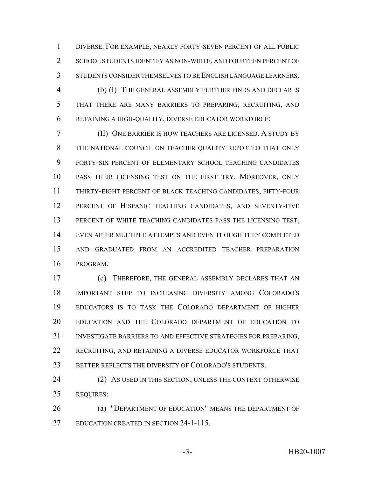DIVERSE. FOR EXAMPLE, NEARLY FORTY-SEVEN PERCENT OF ALL PUBLIC SCHOOL STUDENTS IDENTIFY AS NON-WHITE, AND FOURTEEN PERCENT OF STUDENTS CONSIDER THEMSELVES TO BE ENGLISH LANGUAGE LEARNERS.

 (b) (I) THE GENERAL ASSEMBLY FURTHER FINDS AND DECLARES THAT THERE ARE MANY BARRIERS TO PREPARING, RECRUITING, AND RETAINING A HIGH-QUALITY, DIVERSE EDUCATOR WORKFORCE;

 (II) ONE BARRIER IS HOW TEACHERS ARE LICENSED. A STUDY BY THE NATIONAL COUNCIL ON TEACHER QUALITY REPORTED THAT ONLY FORTY-SIX PERCENT OF ELEMENTARY SCHOOL TEACHING CANDIDATES PASS THEIR LICENSING TEST ON THE FIRST TRY. MOREOVER, ONLY THIRTY-EIGHT PERCENT OF BLACK TEACHING CANDIDATES, FIFTY-FOUR PERCENT OF HISPANIC TEACHING CANDIDATES, AND SEVENTY-FIVE PERCENT OF WHITE TEACHING CANDIDATES PASS THE LICENSING TEST, EVEN AFTER MULTIPLE ATTEMPTS AND EVEN THOUGH THEY COMPLETED AND GRADUATED FROM AN ACCREDITED TEACHER PREPARATION PROGRAM.

 (c) THEREFORE, THE GENERAL ASSEMBLY DECLARES THAT AN IMPORTANT STEP TO INCREASING DIVERSITY AMONG COLORADO'S EDUCATORS IS TO TASK THE COLORADO DEPARTMENT OF HIGHER EDUCATION AND THE COLORADO DEPARTMENT OF EDUCATION TO INVESTIGATE BARRIERS TO AND EFFECTIVE STRATEGIES FOR PREPARING, RECRUITING, AND RETAINING A DIVERSE EDUCATOR WORKFORCE THAT 23 BETTER REFLECTS THE DIVERSITY OF COLORADO'S STUDENTS.

24 (2) AS USED IN THIS SECTION, UNLESS THE CONTEXT OTHERWISE REQUIRES:

**(a) "DEPARTMENT OF EDUCATION" MEANS THE DEPARTMENT OF** EDUCATION CREATED IN SECTION 24-1-115.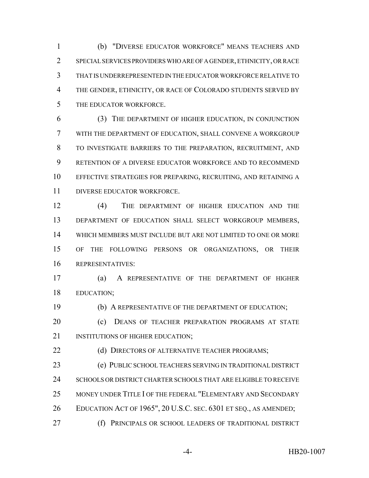(b) "DIVERSE EDUCATOR WORKFORCE" MEANS TEACHERS AND SPECIAL SERVICES PROVIDERS WHO ARE OF A GENDER, ETHNICITY, OR RACE THAT IS UNDERREPRESENTED IN THE EDUCATOR WORKFORCE RELATIVE TO THE GENDER, ETHNICITY, OR RACE OF COLORADO STUDENTS SERVED BY THE EDUCATOR WORKFORCE.

 (3) THE DEPARTMENT OF HIGHER EDUCATION, IN CONJUNCTION WITH THE DEPARTMENT OF EDUCATION, SHALL CONVENE A WORKGROUP TO INVESTIGATE BARRIERS TO THE PREPARATION, RECRUITMENT, AND RETENTION OF A DIVERSE EDUCATOR WORKFORCE AND TO RECOMMEND EFFECTIVE STRATEGIES FOR PREPARING, RECRUITING, AND RETAINING A DIVERSE EDUCATOR WORKFORCE.

 (4) THE DEPARTMENT OF HIGHER EDUCATION AND THE DEPARTMENT OF EDUCATION SHALL SELECT WORKGROUP MEMBERS, WHICH MEMBERS MUST INCLUDE BUT ARE NOT LIMITED TO ONE OR MORE OF THE FOLLOWING PERSONS OR ORGANIZATIONS, OR THEIR REPRESENTATIVES:

 (a) A REPRESENTATIVE OF THE DEPARTMENT OF HIGHER EDUCATION;

(b) A REPRESENTATIVE OF THE DEPARTMENT OF EDUCATION;

20 (c) DEANS OF TEACHER PREPARATION PROGRAMS AT STATE 21 INSTITUTIONS OF HIGHER EDUCATION;

**(d) DIRECTORS OF ALTERNATIVE TEACHER PROGRAMS;** 

 (e) PUBLIC SCHOOL TEACHERS SERVING IN TRADITIONAL DISTRICT 24 SCHOOLS OR DISTRICT CHARTER SCHOOLS THAT ARE ELIGIBLE TO RECEIVE MONEY UNDER TITLE I OF THE FEDERAL "ELEMENTARY AND SECONDARY EDUCATION ACT OF 1965", 20 U.S.C. SEC. 6301 ET SEQ., AS AMENDED; (f) PRINCIPALS OR SCHOOL LEADERS OF TRADITIONAL DISTRICT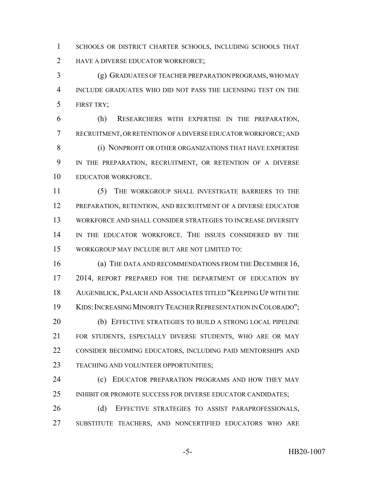SCHOOLS OR DISTRICT CHARTER SCHOOLS, INCLUDING SCHOOLS THAT 2 HAVE A DIVERSE EDUCATOR WORKFORCE;

 (g) GRADUATES OF TEACHER PREPARATION PROGRAMS, WHO MAY INCLUDE GRADUATES WHO DID NOT PASS THE LICENSING TEST ON THE FIRST TRY;

 (h) RESEARCHERS WITH EXPERTISE IN THE PREPARATION, RECRUITMENT, OR RETENTION OF A DIVERSE EDUCATOR WORKFORCE; AND **(i) NONPROFIT OR OTHER ORGANIZATIONS THAT HAVE EXPERTISE**  IN THE PREPARATION, RECRUITMENT, OR RETENTION OF A DIVERSE EDUCATOR WORKFORCE.

 (5) THE WORKGROUP SHALL INVESTIGATE BARRIERS TO THE PREPARATION, RETENTION, AND RECRUITMENT OF A DIVERSE EDUCATOR WORKFORCE AND SHALL CONSIDER STRATEGIES TO INCREASE DIVERSITY IN THE EDUCATOR WORKFORCE. THE ISSUES CONSIDERED BY THE WORKGROUP MAY INCLUDE BUT ARE NOT LIMITED TO:

 (a) THE DATA AND RECOMMENDATIONS FROM THE DECEMBER 16, 17 2014, REPORT PREPARED FOR THE DEPARTMENT OF EDUCATION BY AUGENBLICK, PALAICH AND ASSOCIATES TITLED "KEEPING UP WITH THE KIDS:INCREASING MINORITY TEACHER REPRESENTATION IN COLORADO"; 20 (b) EFFECTIVE STRATEGIES TO BUILD A STRONG LOCAL PIPELINE FOR STUDENTS, ESPECIALLY DIVERSE STUDENTS, WHO ARE OR MAY CONSIDER BECOMING EDUCATORS, INCLUDING PAID MENTORSHIPS AND TEACHING AND VOLUNTEER OPPORTUNITIES;

**(c) EDUCATOR PREPARATION PROGRAMS AND HOW THEY MAY** 25 INHIBIT OR PROMOTE SUCCESS FOR DIVERSE EDUCATOR CANDIDATES;

26 (d) EFFECTIVE STRATEGIES TO ASSIST PARAPROFESSIONALS, SUBSTITUTE TEACHERS, AND NONCERTIFIED EDUCATORS WHO ARE

-5- HB20-1007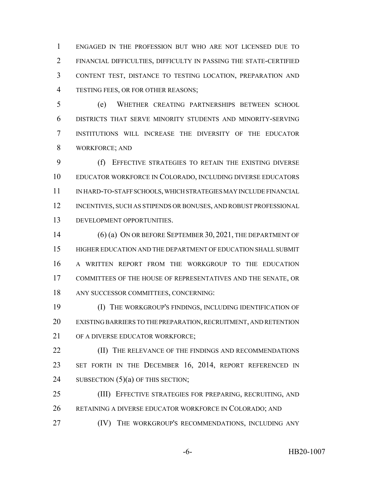ENGAGED IN THE PROFESSION BUT WHO ARE NOT LICENSED DUE TO FINANCIAL DIFFICULTIES, DIFFICULTY IN PASSING THE STATE-CERTIFIED CONTENT TEST, DISTANCE TO TESTING LOCATION, PREPARATION AND TESTING FEES, OR FOR OTHER REASONS;

 (e) WHETHER CREATING PARTNERSHIPS BETWEEN SCHOOL DISTRICTS THAT SERVE MINORITY STUDENTS AND MINORITY-SERVING INSTITUTIONS WILL INCREASE THE DIVERSITY OF THE EDUCATOR WORKFORCE; AND

 (f) EFFECTIVE STRATEGIES TO RETAIN THE EXISTING DIVERSE EDUCATOR WORKFORCE IN COLORADO, INCLUDING DIVERSE EDUCATORS IN HARD-TO-STAFF SCHOOLS, WHICH STRATEGIES MAY INCLUDE FINANCIAL 12 INCENTIVES, SUCH AS STIPENDS OR BONUSES, AND ROBUST PROFESSIONAL DEVELOPMENT OPPORTUNITIES.

 (6) (a) ON OR BEFORE SEPTEMBER 30, 2021, THE DEPARTMENT OF HIGHER EDUCATION AND THE DEPARTMENT OF EDUCATION SHALL SUBMIT A WRITTEN REPORT FROM THE WORKGROUP TO THE EDUCATION COMMITTEES OF THE HOUSE OF REPRESENTATIVES AND THE SENATE, OR ANY SUCCESSOR COMMITTEES, CONCERNING:

 (I) THE WORKGROUP'S FINDINGS, INCLUDING IDENTIFICATION OF EXISTING BARRIERS TO THE PREPARATION, RECRUITMENT, AND RETENTION 21 OF A DIVERSE EDUCATOR WORKFORCE:

**(II)** THE RELEVANCE OF THE FINDINGS AND RECOMMENDATIONS 23 SET FORTH IN THE DECEMBER 16, 2014, REPORT REFERENCED IN 24 SUBSECTION  $(5)(a)$  OF THIS SECTION;

 (III) EFFECTIVE STRATEGIES FOR PREPARING, RECRUITING, AND RETAINING A DIVERSE EDUCATOR WORKFORCE IN COLORADO; AND

**(IV)** THE WORKGROUP'S RECOMMENDATIONS, INCLUDING ANY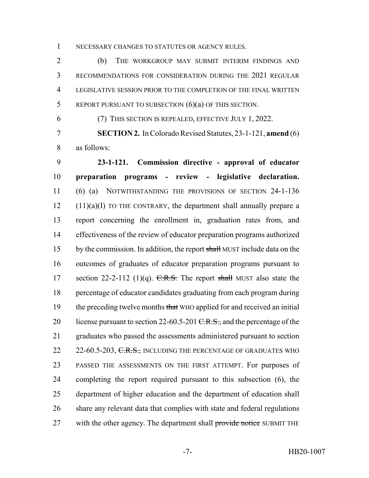NECESSARY CHANGES TO STATUTES OR AGENCY RULES.

 (b) THE WORKGROUP MAY SUBMIT INTERIM FINDINGS AND RECOMMENDATIONS FOR CONSIDERATION DURING THE 2021 REGULAR LEGISLATIVE SESSION PRIOR TO THE COMPLETION OF THE FINAL WRITTEN REPORT PURSUANT TO SUBSECTION (6)(a) OF THIS SECTION.

(7) THIS SECTION IS REPEALED, EFFECTIVE JULY 1, 2022.

 **SECTION 2.** In Colorado Revised Statutes, 23-1-121, **amend** (6) as follows:

 **23-1-121. Commission directive - approval of educator preparation programs - review - legislative declaration.** (6) (a) NOTWITHSTANDING THE PROVISIONS OF SECTION 24-1-136 (11)(a)(I) TO THE CONTRARY, the department shall annually prepare a report concerning the enrollment in, graduation rates from, and effectiveness of the review of educator preparation programs authorized 15 by the commission. In addition, the report shall MUST include data on the outcomes of graduates of educator preparation programs pursuant to 17 section 22-2-112 (1)(q).  $C.R.S.$  The report shall MUST also state the percentage of educator candidates graduating from each program during 19 the preceding twelve months that WHO applied for and received an initial 20 license pursuant to section 22-60.5-201  $C.R.S.,$  and the percentage of the graduates who passed the assessments administered pursuant to section 22 22-60.5-203, C.R.S., INCLUDING THE PERCENTAGE OF GRADUATES WHO PASSED THE ASSESSMENTS ON THE FIRST ATTEMPT. For purposes of completing the report required pursuant to this subsection (6), the department of higher education and the department of education shall share any relevant data that complies with state and federal regulations 27 with the other agency. The department shall provide notice SUBMIT THE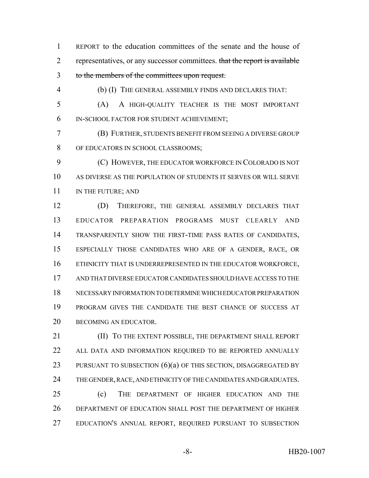REPORT to the education committees of the senate and the house of 2 representatives, or any successor committees. that the report is available to the members of the committees upon request.

(b) (I) THE GENERAL ASSEMBLY FINDS AND DECLARES THAT:

 (A) A HIGH-QUALITY TEACHER IS THE MOST IMPORTANT IN-SCHOOL FACTOR FOR STUDENT ACHIEVEMENT;

 (B) FURTHER, STUDENTS BENEFIT FROM SEEING A DIVERSE GROUP OF EDUCATORS IN SCHOOL CLASSROOMS;

 (C) HOWEVER, THE EDUCATOR WORKFORCE IN COLORADO IS NOT AS DIVERSE AS THE POPULATION OF STUDENTS IT SERVES OR WILL SERVE 11 IN THE FUTURE; AND

 (D) THEREFORE, THE GENERAL ASSEMBLY DECLARES THAT EDUCATOR PREPARATION PROGRAMS MUST CLEARLY AND TRANSPARENTLY SHOW THE FIRST-TIME PASS RATES OF CANDIDATES, ESPECIALLY THOSE CANDIDATES WHO ARE OF A GENDER, RACE, OR ETHNICITY THAT IS UNDERREPRESENTED IN THE EDUCATOR WORKFORCE, AND THAT DIVERSE EDUCATOR CANDIDATES SHOULD HAVE ACCESS TO THE NECESSARY INFORMATION TO DETERMINE WHICH EDUCATOR PREPARATION PROGRAM GIVES THE CANDIDATE THE BEST CHANCE OF SUCCESS AT 20 BECOMING AN EDUCATOR.

 (II) TO THE EXTENT POSSIBLE, THE DEPARTMENT SHALL REPORT 22 ALL DATA AND INFORMATION REQUIRED TO BE REPORTED ANNUALLY 23 PURSUANT TO SUBSECTION (6)(a) OF THIS SECTION, DISAGGREGATED BY THE GENDER, RACE, AND ETHNICITY OF THE CANDIDATES AND GRADUATES. (c) THE DEPARTMENT OF HIGHER EDUCATION AND THE DEPARTMENT OF EDUCATION SHALL POST THE DEPARTMENT OF HIGHER

EDUCATION'S ANNUAL REPORT, REQUIRED PURSUANT TO SUBSECTION